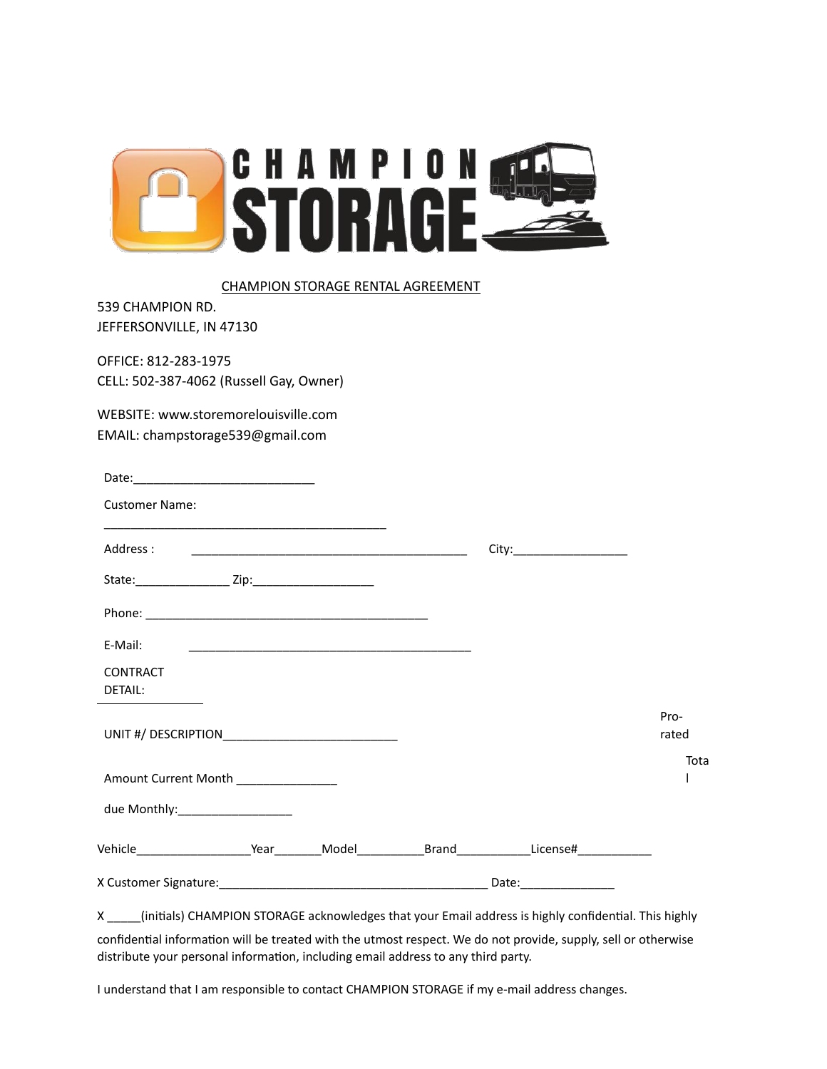

#### CHAMPION STORAGE RENTAL AGREEMENT

539 CHAMPION RD. JEFFERSONVILLE, IN 47130

OFFICE: 812-283-1975 CELL: 502-387-4062 (Russell Gay, Owner)

WEBSITE: www.storemorelouisville.com EMAIL: champstorage539@gmail.com

| <b>Customer Name:</b>                                                                                    |  |                              |               |
|----------------------------------------------------------------------------------------------------------|--|------------------------------|---------------|
|                                                                                                          |  | City:_______________________ |               |
|                                                                                                          |  |                              |               |
|                                                                                                          |  |                              |               |
| E-Mail:                                                                                                  |  |                              |               |
| <b>CONTRACT</b>                                                                                          |  |                              |               |
| DETAIL:                                                                                                  |  |                              |               |
| UNIT #/ DESCRIPTION                                                                                      |  |                              | Pro-<br>rated |
| Amount Current Month                                                                                     |  |                              | Tota          |
| due Monthly:____________________                                                                         |  |                              |               |
| Vehicle________________________Year__________Model______________Brand_____________License#______________ |  |                              |               |
|                                                                                                          |  | Date:________________        |               |

X \_\_\_\_\_(initials) CHAMPION STORAGE acknowledges that your Email address is highly confidential. This highly confidential information will be treated with the utmost respect. We do not provide, supply, sell or otherwise distribute your personal information, including email address to any third party.

I understand that I am responsible to contact CHAMPION STORAGE if my e-mail address changes.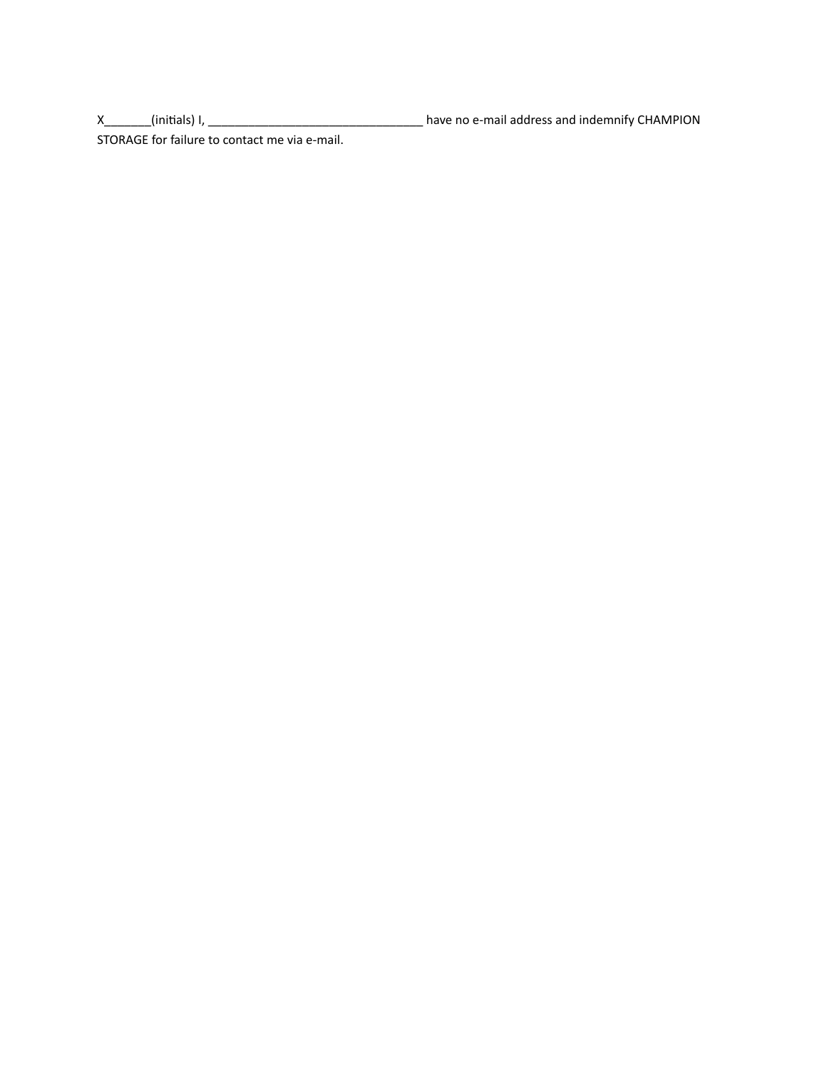X\_\_\_\_\_\_\_(initials) I, \_\_\_\_\_\_\_\_\_\_\_\_\_\_\_\_\_\_\_\_\_\_\_\_\_\_\_\_\_\_\_\_ have no e-mail address and indemnify CHAMPION

STORAGE for failure to contact me via e-mail.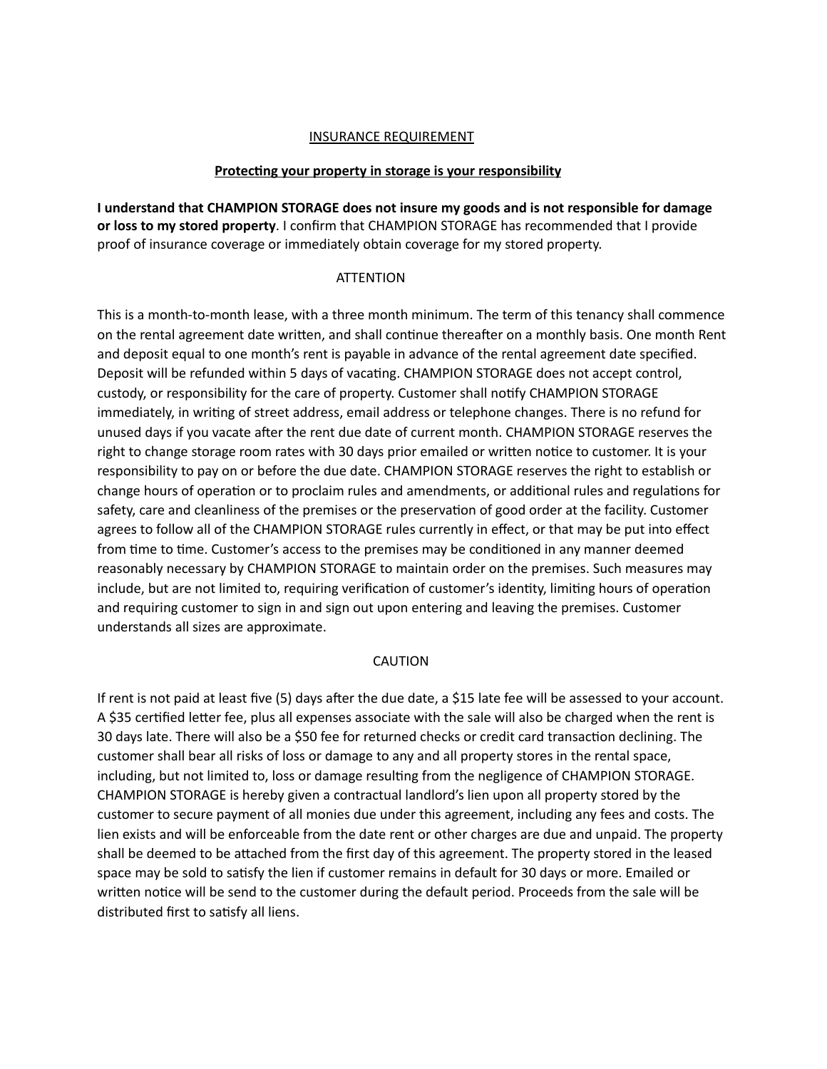## INSURANCE REQUIREMENT

### **Protecting your property in storage is your responsibility**

**I understand that CHAMPION STORAGE does not insure my goods and is not responsible for damage or loss to my stored property**. I confirm that CHAMPION STORAGE has recommended that I provide proof of insurance coverage or immediately obtain coverage for my stored property.

### **ATTENTION**

This is a month-to-month lease, with a three month minimum. The term of this tenancy shall commence on the rental agreement date written, and shall continue thereafter on a monthly basis. One month Rent and deposit equal to one month's rent is payable in advance of the rental agreement date specified. Deposit will be refunded within 5 days of vacating. CHAMPION STORAGE does not accept control, custody, or responsibility for the care of property. Customer shall notify CHAMPION STORAGE immediately, in writing of street address, email address or telephone changes. There is no refund for unused days if you vacate after the rent due date of current month. CHAMPION STORAGE reserves the right to change storage room rates with 30 days prior emailed or written notice to customer. It is your responsibility to pay on or before the due date. CHAMPION STORAGE reserves the right to establish or change hours of operation or to proclaim rules and amendments, or additional rules and regulations for safety, care and cleanliness of the premises or the preservation of good order at the facility. Customer agrees to follow all of the CHAMPION STORAGE rules currently in effect, or that may be put into effect from time to time. Customer's access to the premises may be conditioned in any manner deemed reasonably necessary by CHAMPION STORAGE to maintain order on the premises. Such measures may include, but are not limited to, requiring verification of customer's identity, limiting hours of operation and requiring customer to sign in and sign out upon entering and leaving the premises. Customer understands all sizes are approximate.

### CAUTION

If rent is not paid at least five (5) days after the due date, a \$15 late fee will be assessed to your account. A \$35 certified letter fee, plus all expenses associate with the sale will also be charged when the rent is 30 days late. There will also be a \$50 fee for returned checks or credit card transaction declining. The customer shall bear all risks of loss or damage to any and all property stores in the rental space, including, but not limited to, loss or damage resulting from the negligence of CHAMPION STORAGE. CHAMPION STORAGE is hereby given a contractual landlord's lien upon all property stored by the customer to secure payment of all monies due under this agreement, including any fees and costs. The lien exists and will be enforceable from the date rent or other charges are due and unpaid. The property shall be deemed to be attached from the first day of this agreement. The property stored in the leased space may be sold to satisfy the lien if customer remains in default for 30 days or more. Emailed or written notice will be send to the customer during the default period. Proceeds from the sale will be distributed first to satisfy all liens.